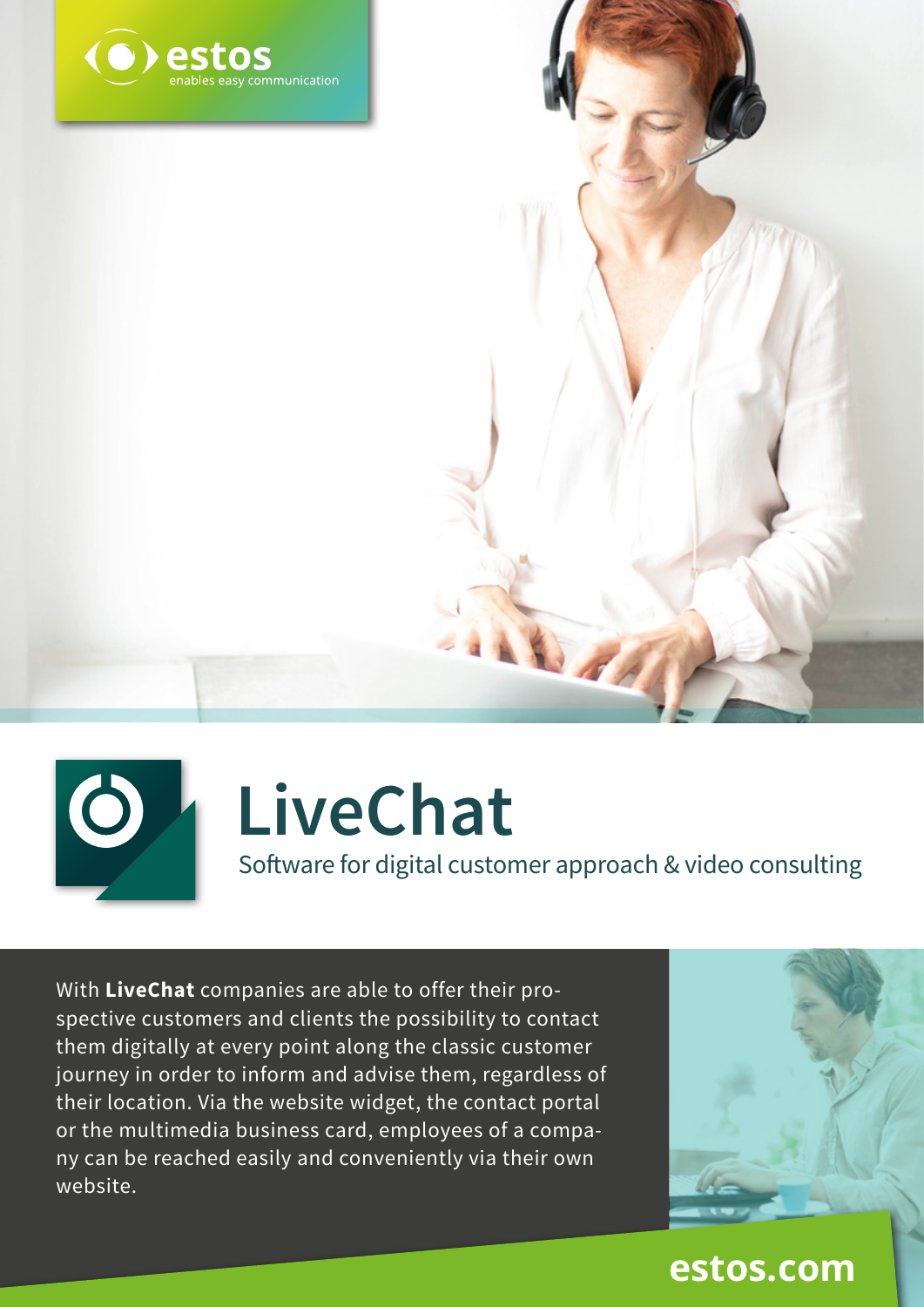



# **LiveChat**

Software for digital customer approach & video consulting

With **LiveChat** companies are able to offer their prospective customers and clients the possibility to contact them digitally at every point along the classic customer journey in order to inform and advise them, regardless of their location. Via the website widget, the contact portal or the multimedia business card, employees of a company can be reached easily and conveniently via their own website.



#### **estos.com**